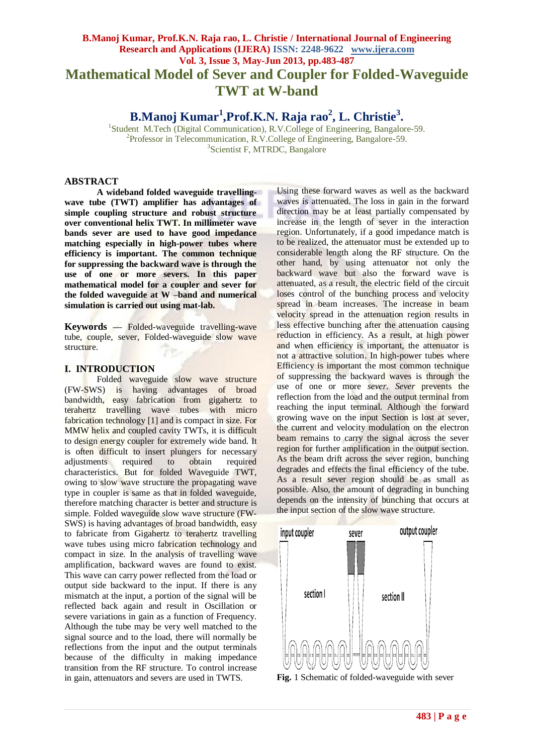# **B.Manoj Kumar, Prof.K.N. Raja rao, L. Christie / International Journal of Engineering Research and Applications (IJERA) ISSN: 2248-9622 www.ijera.com Vol. 3, Issue 3, May-Jun 2013, pp.483-487 Mathematical Model of Sever and Coupler for Folded-Waveguide TWT at W-band**

**B.Manoj Kumar<sup>1</sup> ,Prof.K.N. Raja rao<sup>2</sup> , L. Christie<sup>3</sup> .**

<sup>1</sup>Student M.Tech (Digital Communication), R.V.College of Engineering, Bangalore-59. <sup>2</sup>Professor in Telecommunication, R.V.College of Engineering, Bangalore-59. 3 Scientist F, MTRDC, Bangalore

#### **ABSTRACT**

**A wideband folded waveguide travellingwave tube (TWT) amplifier has advantages of simple coupling structure and robust structure over conventional helix TWT. In millimeter wave bands sever are used to have good impedance matching especially in high-power tubes where efficiency is important. The common technique for suppressing the backward wave is through the use of one or more severs. In this paper mathematical model for a coupler and sever for the folded waveguide at W –band and numerical simulation is carried out using mat-lab.**

**Keywords** *—* Folded-waveguide travelling-wave tube, couple, sever, Folded-waveguide slow wave structure.

# **I. INTRODUCTION**

Folded waveguide slow wave structure (FW-SWS) is having advantages of broad bandwidth, easy fabrication from gigahertz to terahertz travelling wave tubes with micro fabrication technology [1] and is compact in size. For MMW helix and coupled cavity TWTs, it is difficult to design energy coupler for extremely wide band. It is often difficult to insert plungers for necessary adjustments required to obtain required characteristics. But for folded Waveguide TWT, owing to slow wave structure the propagating wave type in coupler is same as that in folded waveguide, therefore matching character is better and structure is simple. Folded waveguide slow wave structure (FW-SWS) is having advantages of broad bandwidth, easy to fabricate from Gigahertz to terahertz travelling wave tubes using micro fabrication technology and compact in size. In the analysis of travelling wave amplification, backward waves are found to exist. This wave can carry power reflected from the load or output side backward to the input. If there is any mismatch at the input, a portion of the signal will be reflected back again and result in Oscillation or severe variations in gain as a function of Frequency. Although the tube may be very well matched to the signal source and to the load, there will normally be reflections from the input and the output terminals because of the difficulty in making impedance transition from the RF structure. To control increase in gain, attenuators and severs are used in TWTS.

Using these forward waves as well as the backward waves is attenuated. The loss in gain in the forward direction may be at least partially compensated by increase in the length of sever in the interaction region. Unfortunately, if a good impedance match is to be realized, the attenuator must be extended up to considerable length along the RF structure. On the other hand, by using attenuator not only the backward wave but also the forward wave is attenuated, as a result, the electric field of the circuit loses control of the bunching process and velocity spread in beam increases. The increase in beam velocity spread in the attenuation region results in less effective bunching after the attenuation causing reduction in efficiency. As a result, at high power and when efficiency is important, the attenuator is not a attractive solution. In high-power tubes where Efficiency is important the most common technique of suppressing the backward waves is through the use of one or more *sever*. *Sever* prevents the reflection from the load and the output terminal from reaching the input terminal. Although the forward growing wave on the input Section is lost at sever, the current and velocity modulation on the electron beam remains to carry the signal across the sever region for further amplification in the output section. As the beam drift across the sever region, bunching degrades and effects the final efficiency of the tube. As a result sever region should be as small as possible. Also, the amount of degrading in bunching depends on the intensity of bunching that occurs at the input section of the slow wave structure.



**Fig.** 1 Schematic of folded-waveguide with sever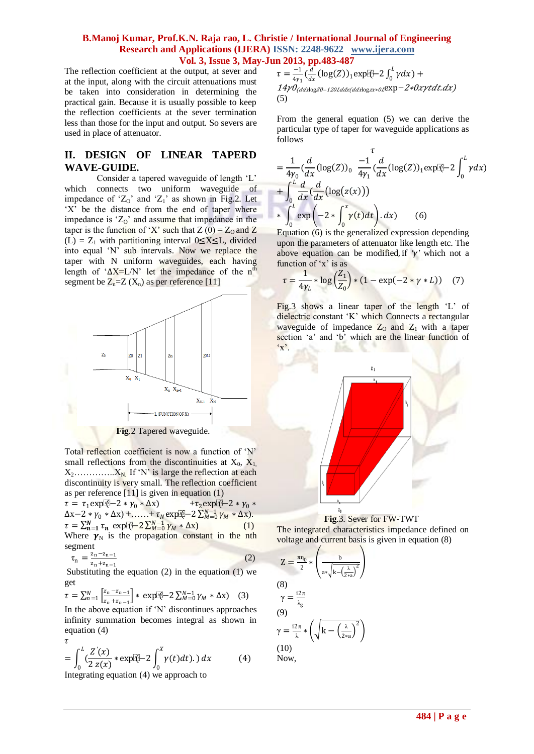The reflection coefficient at the output, at sever and at the input, along with the circuit attenuations must be taken into consideration in determining the practical gain. Because it is usually possible to keep the reflection coefficients at the sever termination less than those for the input and output. So severs are used in place of attenuator.

# **II. DESIGN OF LINEAR TAPERD WAVE-GUIDE.**

Consider a tapered waveguide of length 'L' which connects two uniform waveguide of impedance of ' $Z_0$ ' and ' $Z_1$ ' as shown in Fig.2. Let 'X' be the distance from the end of taper where impedance is  $Z_0$  and assume that impedance in the taper is the function of 'X' such that  $Z(0) = Z_0$  and Z (L) =  $Z_1$  with partitioning interval 0≤X≤L, divided into equal "N" sub intervals. Now we replace the taper with N uniform waveguides, each having length of ' $\Delta X = L/N$ ' let the impedance of the n<sup>th</sup> segment be  $Z_n = Z(X_n)$  as per reference [11]



Total reflection coefficient is now a function of "N" small reflections from the discontinuities at  $X_0$ ,  $X_1$ X2…………..XN. If "N" is large the reflection at each discontinuity is very small. The reflection coefficient as per reference [11] is given in equation (1)

 $\tau = \tau_1 \exp[\sqrt{(-2 + \gamma_0 + \Delta x)} + \tau_2 \exp[\sqrt{(-2 + \gamma_0 + \Delta x)}])$  $\Delta x - 2 * \gamma_0 * \Delta x$ ) +……+  $\tau_N \exp{\phi} - 2 \sum_{M=0}^{N-1} \gamma_M * \Delta x$ .  $\tau = \sum_{n=1}^{N} \tau_n \exp{\left[\frac{n}{2}\right]} - 2\sum_{M=0}^{N-1} \gamma_M * \Delta x)$  (1) Where  $\gamma_N$  is the propagation constant in the nth segment

$$
\tau_n = \frac{z_n - z_{n-1}}{z_n + z_{n-1}}\tag{2}
$$

Substituting the equation  $(2)$  in the equation  $(1)$  we get

$$
\tau = \sum_{n=1}^{N} \left[ \frac{z_n - z_{n-1}}{z_n + z_{n-1}} \right] * \exp[\overline{\psi} - 2 \sum_{M=0}^{N-1} \gamma_M * \Delta x] \quad (3)
$$

In the above equation if "N" discontinues approaches infinity summation becomes integral as shown in equation (4)

$$
\tau = \int_0^L \left(\frac{Z'(x)}{2z(x)} * \exp[\frac{x}{2}] - 2 \int_0^X \gamma(t) dt\right) dx \tag{4}
$$

Integrating equation (4) we approach to

$$
\tau = \frac{-1}{4\gamma_1} \left(\frac{d}{dx} (\log(Z))_1 \exp{\mathbb{I}(\frac{1}{x})} - 2 \int_0^L \gamma dx\right) + 14\gamma \theta_{(ddx\log Z)} - 120L\text{d}x \left(\frac{dd}{dx}\log Z + \frac{d}{dx}\right) \exp(-2\sqrt{x})\text{d}x\text{d}x\text{d}x\text{d}x\text{d}x\text{d}x\text{d}x\text{d}x\text{d}x\text{d}x\text{d}x\text{d}x\text{d}x\text{d}x\text{d}x\text{d}x\text{d}x\text{d}x\text{d}x\text{d}x\text{d}x\text{d}x\text{d}x\text{d}x\text{d}x\text{d}x\text{d}x\text{d}x\text{d}x\text{d}x\text{d}x\text{d}x\text{d}x\text{d}x\text{d}x\text{d}x\text{d}x\text{d}x\text{d}x\text{d}x\text{d}x\text{d}x\text{d}x\text{d}x\text{d}x\text{d}x\text{d}x\text{d}x\text{d}x\text{d}x\text{d}x\text{d}x\text{d}x\text{d}x\text{d}x\text{d}x\text{d}x\text{d}x\text{d}x\text{d}x\text{d}x\text{d}x\text{d}x\text{d}x\text{d}x\text{d}x\text{d}x\text{d}x\text{d}x\text{d}x\text{d}x\text{d}x\text{d}x\text{d}x\text{d}x\text{d}x\text{d}x\text{d}x\text{d}x\text{d}x\text{d}x\text{d}x\text{d}x\text{d}x\text{d}x\text{d}x\text{d}x\text{d}x\text{d}x\text{d}x\text{d}x\text{d}x\text{d}x\text{d}x\text{d}x\text{d}x\text{d}x\text{d}x\text{d}x\text{d}x\text{d}x\text{d}x\text{d}x\text{d}x\text{d}x\text{d}x\text{d}x\
$$

From the general equation (5) we can derive the particular type of taper for waveguide applications as follows

$$
= \frac{1}{4\gamma_0} \left(\frac{d}{dx} (\log(Z))_0 \frac{-1}{4\gamma_1} \left(\frac{d}{dx} (\log(Z))_1 \exp[\xi] - 2 \int_0^L \gamma dx\right)\right) + \int_0^L \frac{d}{dx} \left(\frac{d}{dx} (\log(z(x)))\right) * \int_0^L \exp\left(-2 * \int_0^x \gamma(t) dt\right) dx
$$
 (6)

Equation (6) is the generalized expression depending upon the parameters of attenuator like length etc. The above equation can be modified, if  $\gamma'$  which not a function of  $x'$  is as

$$
\tau = \frac{1}{4\gamma_L} * \log\left(\frac{Z_1}{Z_0}\right) * (1 - \exp(-2 * \gamma * L)) \quad (7)
$$

Fig.3 shows a linear taper of the length 'L' of dielectric constant 'K' which Connects a rectangular waveguide of impedance  $Z_0$  and  $Z_1$  with a taper section 'a' and 'b' which are the linear function of  $\cdot$ <sub>x</sub>





The integrated characteristics impedance defined on voltage and current basis is given in equation (8)

$$
Z = \frac{\pi \eta_0}{2} * \left(\frac{b}{a * \sqrt{k - (\frac{\lambda}{2 * a})^2}}\right)
$$
  
(8)  

$$
\gamma = \frac{i2\pi}{\lambda_g}
$$
  
(9)  

$$
\gamma = \frac{i2\pi}{\lambda} * \left(\sqrt{k - (\frac{\lambda}{2 * a})^2}\right)
$$
  
(10)  
Now,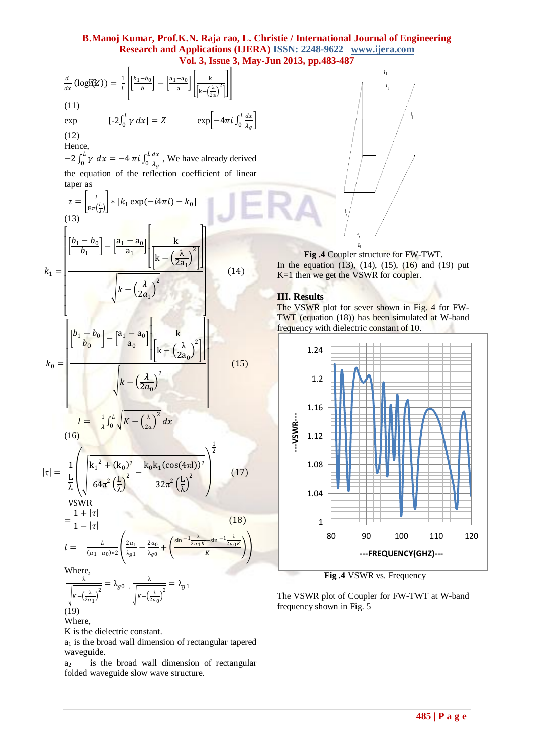$$
\frac{d}{dx}(\log f(\mathbf{z})) = \frac{1}{2} \left[ \frac{p_1 - b_0}{b} \right] - \left[ \frac{a_1 - a_0}{a} \right] \left[ \frac{k}{k - \left(\frac{b_0}{2a_1}\right)^2} \right]
$$
\n(11)  
\nexp  
\n(12)  
\n(13)  
\n(14)  
\n(15)  
\n(16)  
\n
$$
k_1 = \left[ \frac{b_1 - b_0}{b_1} \right] - \left[ \frac{a_1 - a_0}{a_1} \right] \left[ \frac{k}{k - \left(\frac{\lambda}{2a_1}\right)^2} \right]
$$
\n(14)  
\n
$$
k_1 = \left[ \frac{b_1 - b_0}{b_1} \right] - \left[ \frac{a_1 - a_0}{a_1} \right] \left[ \frac{k}{k - \left(\frac{\lambda}{2a_1}\right)^2} \right]
$$
\n(15)  
\n(16)  
\n
$$
k_0 = \left[ \frac{b_1 - b_0}{b_1} \right] - \left[ \frac{a_1 - a_0}{a_1} \right] \left[ \frac{k}{k - \left(\frac{\lambda}{2a_1}\right)^2} \right]
$$
\n(16)  
\n(17)  
\n
$$
k_0 = \left[ \frac{b_1 - b_0}{b_0} \right] - \left[ \frac{a_1 - a_0}{a_0} \right] \left[ \frac{k}{k - \left(\frac{\lambda}{2a_0}\right)^2} \right]
$$
\n(18)  
\n
$$
k_0 = \left[ \frac{b_1 - b_0}{b_0} \right] - \left[ \frac{a_1 - a_0}{a_0} \right] \left[ \frac{k}{k - \left(\frac{\lambda}{2a_0}\right)^2} \right]
$$
\n(19)  
\n
$$
k_0 = \left[ \frac{b_1 - b_0}{b_0} \right] - \left[ \frac{a_1 - a_0}{a_0} \right] \left[ \frac{k}{k - \left(\frac{\lambda}{2a_0}\right)^2} \right]
$$
\n(11)  
\n
$$
k_0 = \frac{1}{\sqrt{k - \left(\frac{\lambda}{2a_0}\right)^2}} - \frac{1}{\sqrt{k - \left(\frac{\lambda}{2a_0}\right
$$

Where,

K is the dielectric constant.

 $a_1$  is the broad wall dimension of rectangular tapered waveguide.

 $a_2$  is the broad wall dimension of rectangular folded waveguide slow wave structure.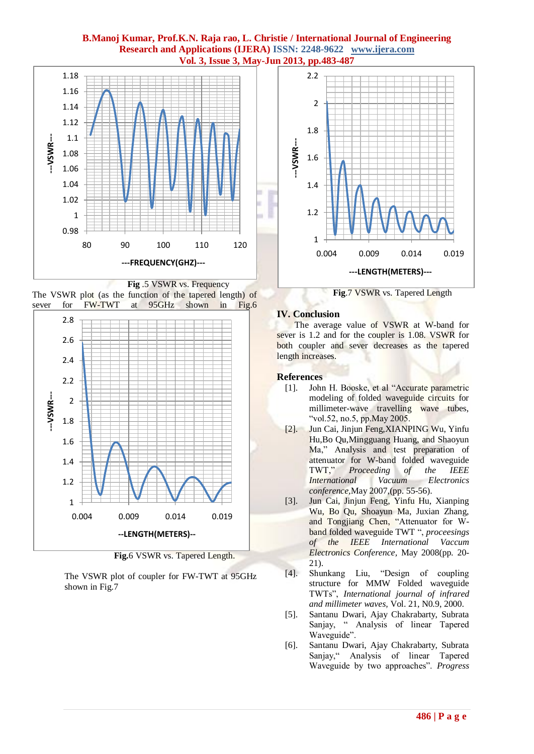





**Fig.**6 VSWR vs. Tapered Length.

The VSWR plot of coupler for FW-TWT at 95GHz shown in Fig.7



**Fig**.7 VSWR vs. Tapered Length

# **IV. Conclusion**

 The average value of VSWR at W-band for sever is 1.2 and for the coupler is 1.08. VSWR for both coupler and sever decreases as the tapered length increases.

# **References**

- [1]. John H. Booske, et al "Accurate parametric modeling of folded waveguide circuits for millimeter-wave travelling wave tubes, "vol.52, no.5, pp.May 2005.
- [2]. Jun Cai, Jinjun Feng,XIANPING Wu, Yinfu Hu,Bo Qu,Mingguang Huang, and Shaoyun Ma," Analysis and test preparation of attenuator for W-band folded waveguide TWT," *Proceeding of the IEEE International Vacuum Electronics conference,*May 2007,(pp. 55-56).
- [3]. Jun Cai, Jinjun Feng, Yinfu Hu, Xianping Wu, Bo Qu, Shoayun Ma, Juxian Zhang, and Tongjiang Chen, "Attenuator for Wband folded waveguide TWT ", *proceesings of the IEEE International Vaccum Electronics Conference,* May 2008(pp. 20- 21).
- [4]. Shunkang Liu, "Design of coupling structure for MMW Folded waveguide TWTs", *International journal of infrared and millimeter waves,* Vol. 21, N0.9, 2000.
- [5]. Santanu Dwari, Ajay Chakrabarty, Subrata Sanjay, " Analysis of linear Tapered Waveguide".
- [6]. Santanu Dwari, Ajay Chakrabarty, Subrata Sanjay," Analysis of linear Tapered Waveguide by two approaches". *Progress*